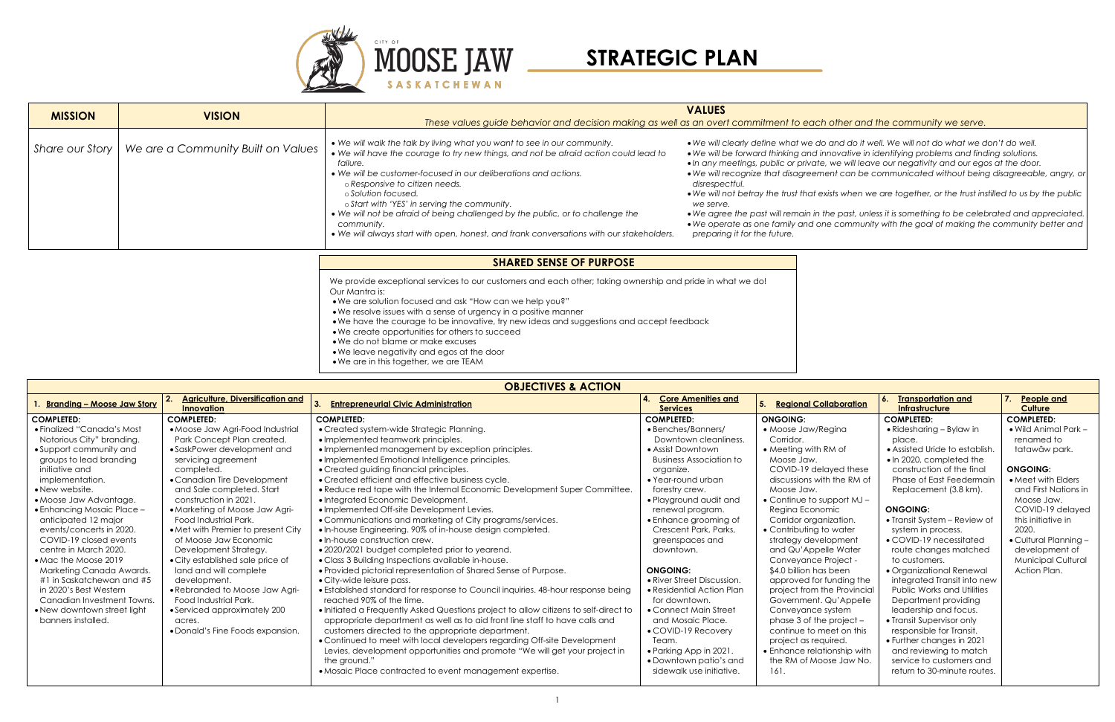

| <b>OBJECTIVES &amp; ACTION</b> |                                                              |                                                                                      |                                              |                                     |                                             |                                    |  |  |
|--------------------------------|--------------------------------------------------------------|--------------------------------------------------------------------------------------|----------------------------------------------|-------------------------------------|---------------------------------------------|------------------------------------|--|--|
| I. Branding – Moose Jaw Story  | <b>Agriculture, Diversification and</b><br><b>Innovation</b> | <b>Entrepreneurial Civic Administration</b>                                          | <b>Core Amenities and</b><br><b>Services</b> | <b>Regional Collaboration</b><br>5. | <b>Transportation and</b><br>Infrastructure | 7.<br>People and<br><b>Culture</b> |  |  |
| <b>COMPLETED:</b>              | <b>COMPLETED:</b>                                            | <b>COMPLETED:</b>                                                                    | <b>COMPLETED:</b>                            | <b>ONGOING:</b>                     | <b>COMPLETED:</b>                           | <b>COMPLETED:</b>                  |  |  |
| • Finalized "Canada's Most     | • Moose Jaw Agri-Food Industrial                             | • Created system-wide Strategic Planning.                                            | • Benches/Banners/                           | • Moose Jaw/Regina                  | • Ridesharing $-$ Bylaw in                  | • Wild Animal Park -               |  |  |
| Notorious City" branding.      | Park Concept Plan created.                                   | • Implemented teamwork principles.                                                   | Downtown cleanliness.                        | Corridor.                           | place.                                      | renamed to                         |  |  |
| • Support community and        | • SaskPower development and                                  | · Implemented management by exception principles.                                    | • Assist Downtown                            | • Meeting with RM of                | • Assisted Uride to establish.              | tatawâw park.                      |  |  |
| groups to lead branding        | servicing agreement                                          | • Implemented Emotional Intelligence principles.                                     | <b>Business Association to</b>               | Moose Jaw.                          | • In 2020, completed the                    |                                    |  |  |
| initiative and                 | completed.                                                   | • Created guiding financial principles.                                              | organize.                                    | COVID-19 delayed these              | construction of the final                   | <b>ONGOING:</b>                    |  |  |
| implementation.                | • Canadian Tire Development                                  | • Created efficient and effective business cycle.                                    | • Year-round urban                           | discussions with the RM of          | Phase of East Feedermain                    | • Meet with Elders                 |  |  |
| • New website.                 | and Sale completed. Start                                    | • Reduce red tape with the Internal Economic Development Super Committee.            | forestry crew.                               | Moose Jaw.                          | Replacement (3.8 km).                       | and First Nations in               |  |  |
| • Moose Jaw Advantage.         | construction in 2021                                         | • Integrated Economic Development.                                                   | • Playground audit and                       | $\bullet$ Continue to support MJ -  |                                             | Moose Jaw.                         |  |  |
| • Enhancing Mosaic Place -     | • Marketing of Moose Jaw Agri-                               | • Implemented Off-site Development Levies.                                           | renewal program.                             | Regina Economic                     | <b>ONGOING:</b>                             | COVID-19 delayed                   |  |  |
| anticipated 12 major           | Food Industrial Park.                                        | • Communications and marketing of City programs/services.                            | • Enhance grooming of                        | Corridor organization.              | • Transit System – Review of                | this initiative in                 |  |  |
| events/concerts in 2020.       | • Met with Premier to present City                           | . In-house Engineering. 90% of in-house design completed.                            | Crescent Park, Parks,                        | • Contributing to water             | system in process.                          | 2020.                              |  |  |
| COVID-19 closed events         | of Moose Jaw Economic                                        | • In-house construction crew.                                                        | greenspaces and                              | strategy development                | • COVID-19 necessitated                     | $\bullet$ Cultural Planning -      |  |  |
| centre in March 2020.          | Development Strategy.                                        | • 2020/2021 budget completed prior to yearend.                                       | downtown.                                    | and Qu'Appelle Water                | route changes matched                       | development of                     |  |  |
| • Mac the Moose 2019           | • City established sale price of                             | · Class 3 Building Inspections available in-house.                                   |                                              | Conveyance Project -                | to customers.                               | <b>Municipal Cultural</b>          |  |  |
| Marketing Canada Awards.       | land and will complete                                       | • Provided pictorial representation of Shared Sense of Purpose.                      | <b>ONGOING:</b>                              | \$4.0 billion has been              | • Organizational Renewal                    | Action Plan.                       |  |  |
| #1 in Saskatchewan and #5      | development.                                                 | • City-wide leisure pass.                                                            | • River Street Discussion.                   | approved for funding the            | integrated Transit into new                 |                                    |  |  |
| in 2020's Best Western         | • Rebranded to Moose Jaw Agri-                               | • Established standard for response to Council inquiries. 48-hour response being     | • Residential Action Plan                    | project from the Provincial         | Public Works and Utilities                  |                                    |  |  |
| Canadian Investment Towns.     | <b>Food Industrial Park.</b>                                 | reached 90% of the time.                                                             | for downtown.                                | Government. Qu'Appelle              | Department providing                        |                                    |  |  |
| • New downtown street light    | • Serviced approximately 200                                 | . Initiated a Frequently Asked Questions project to allow citizens to self-direct to | • Connect Main Street                        | Conveyance system                   | leadership and focus.                       |                                    |  |  |
| banners installed.             | acres.                                                       | appropriate department as well as to aid front line staff to have calls and          | and Mosaic Place.                            | phase 3 of the project $-$          | • Transit Supervisor only                   |                                    |  |  |
|                                | • Donald's Fine Foods expansion.                             | customers directed to the appropriate department.                                    | • COVID-19 Recovery                          | continue to meet on this            | responsible for Transit.                    |                                    |  |  |
|                                |                                                              | • Continued to meet with local developers regarding Off-site Development             | Team.                                        | project as required.                | • Further changes in 2021                   |                                    |  |  |
|                                |                                                              | Levies, development opportunities and promote "We will get your project in           | • Parking App in 2021.                       | • Enhance relationship with         | and reviewing to match                      |                                    |  |  |
|                                |                                                              | the ground."                                                                         | • Downtown patio's and                       | the RM of Moose Jaw No.             | service to customers and                    |                                    |  |  |
|                                |                                                              | • Mosaic Place contracted to event management expertise.                             | sidewalk use initiative.                     | 161.                                | return to 30-minute routes.                 |                                    |  |  |
|                                |                                                              |                                                                                      |                                              |                                     |                                             |                                    |  |  |

the past, unless it is something to be celebrated and appreciated. • *We operate as one family and one community with the goal of making the community better and* 



## *These values guide behavior and decision making as well as an overt commitment to each other and the community we serve.*

| <b>MISSION</b>                                                                                                  | <b>VISION</b>                      | These values quide behavior and decision making as well as an overt commitment to eac                                                                                                                                                                                                                                                                                                                                                                                                                                                                | <b>VALUES</b>                                                                                                                                                                                                                                                                                                                        |  |  |
|-----------------------------------------------------------------------------------------------------------------|------------------------------------|------------------------------------------------------------------------------------------------------------------------------------------------------------------------------------------------------------------------------------------------------------------------------------------------------------------------------------------------------------------------------------------------------------------------------------------------------------------------------------------------------------------------------------------------------|--------------------------------------------------------------------------------------------------------------------------------------------------------------------------------------------------------------------------------------------------------------------------------------------------------------------------------------|--|--|
| Share our Story                                                                                                 | We are a Community Built on Values | • We will walk the talk by living what you want to see in our community.<br>. We will have the courage to try new things, and not be afraid action could lead to<br>failure.<br>• We will be customer-focused in our deliberations and actions.<br>o Responsive to citizen needs.<br>o Solution focused.<br>o Start with 'YES' in serving the community.<br>• We will not be afraid of being challenged by the public, or to challenge the<br>community.<br>. We will always start with open, honest, and frank conversations with our stakeholders. | . We will clearly define what we d<br>• We will be forward thinking and<br>• In any meetings, public or privat<br>• We will recognize that disagreer<br>disrespectful.<br>• We will not betray the trust that<br>we serve.<br>• We agree the past will remain in<br>• We operate as one family and c<br>preparing it for the future. |  |  |
|                                                                                                                 |                                    | <b>SHARED SENSE OF PURPOSE</b>                                                                                                                                                                                                                                                                                                                                                                                                                                                                                                                       |                                                                                                                                                                                                                                                                                                                                      |  |  |
| AMA CONTRACT CONTRACTOR CONTRACTOR CONTRACTOR CONTRACTO IN THE CONTRACTOR CONTRACTOR AND ANNO 1990 IN THE CONTR |                                    |                                                                                                                                                                                                                                                                                                                                                                                                                                                                                                                                                      |                                                                                                                                                                                                                                                                                                                                      |  |  |

• *We will clearly define what we do and do it well. We will not do what we don't do well.* innovative in identifying problems and finding solutions. • *In any meetings, public or private, we will leave our negativity and our egos at the door.* • *We will recognize that disagreement can be communicated without being disagreeable, angry, or* 

exists when we are together, or the trust instilled to us by the public

We provide exceptional services to our customers and each other; taking ownership and pride in what we do! Our Mantra is:

- •We are solution focused and ask "How can we help you?"
- •We resolve issues with a sense of urgency in a positive manner
- •We have the courage to be innovative, try new ideas and suggestions and accept feedback
- •We create opportunities for others to succeed
- •We do not blame or make excuses
- •We leave negativity and egos at the door
- •We are in this together, we are TEAM